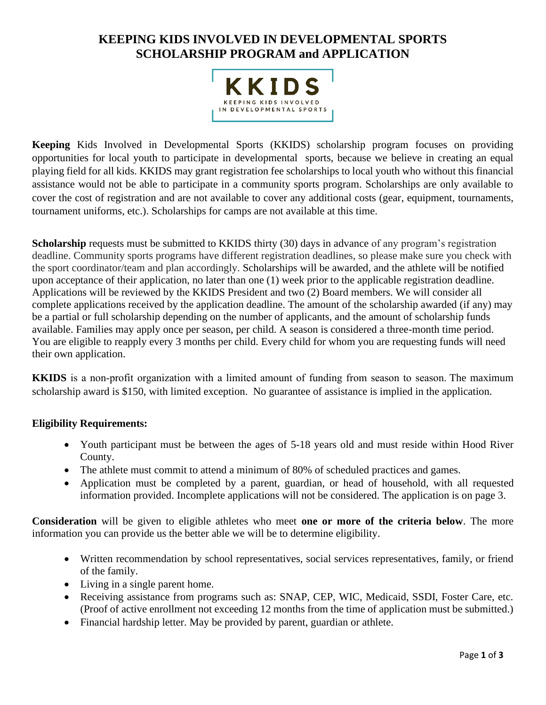# **KEEPING KIDS INVOLVED IN DEVELOPMENTAL SPORTS SCHOLARSHIP PROGRAM and APPLICATION**



**Keeping** Kids Involved in Developmental Sports (KKIDS) scholarship program focuses on providing opportunities for local youth to participate in developmental sports, because we believe in creating an equal playing field for all kids. KKIDS may grant registration fee scholarships to local youth who without this financial assistance would not be able to participate in a community sports program. Scholarships are only available to cover the cost of registration and are not available to cover any additional costs (gear, equipment, tournaments, tournament uniforms, etc.). Scholarships for camps are not available at this time.

**Scholarship** requests must be submitted to KKIDS thirty (30) days in advance of any program's registration deadline. Community sports programs have different registration deadlines, so please make sure you check with the sport coordinator/team and plan accordingly. Scholarships will be awarded, and the athlete will be notified upon acceptance of their application, no later than one (1) week prior to the applicable registration deadline. Applications will be reviewed by the KKIDS President and two (2) Board members. We will consider all complete applications received by the application deadline. The amount of the scholarship awarded (if any) may be a partial or full scholarship depending on the number of applicants, and the amount of scholarship funds available. Families may apply once per season, per child. A season is considered a three-month time period. You are eligible to reapply every 3 months per child. Every child for whom you are requesting funds will need their own application.

**KKIDS** is a non-profit organization with a limited amount of funding from season to season. The maximum scholarship award is \$150, with limited exception. No guarantee of assistance is implied in the application.

#### **Eligibility Requirements:**

- Youth participant must be between the ages of 5-18 years old and must reside within Hood River County.
- The athlete must commit to attend a minimum of 80% of scheduled practices and games.
- Application must be completed by a parent, guardian, or head of household, with all requested information provided. Incomplete applications will not be considered. The application is on page 3.

**Consideration** will be given to eligible athletes who meet **one or more of the criteria below**. The more information you can provide us the better able we will be to determine eligibility.

- Written recommendation by school representatives, social services representatives, family, or friend of the family.
- Living in a single parent home.
- Receiving assistance from programs such as: SNAP, CEP, WIC, Medicaid, SSDI, Foster Care, etc. (Proof of active enrollment not exceeding 12 months from the time of application must be submitted.)
- Financial hardship letter. May be provided by parent, guardian or athlete.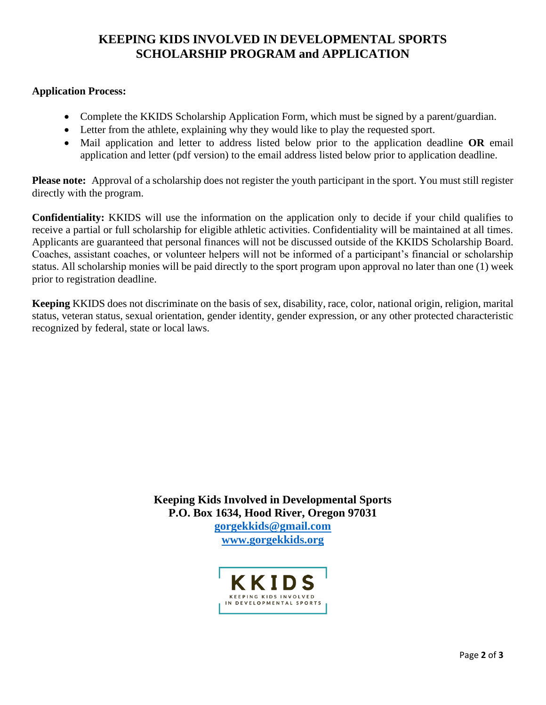## **KEEPING KIDS INVOLVED IN DEVELOPMENTAL SPORTS SCHOLARSHIP PROGRAM and APPLICATION**

#### **Application Process:**

- Complete the KKIDS Scholarship Application Form, which must be signed by a parent/guardian.
- Letter from the athlete, explaining why they would like to play the requested sport.
- Mail application and letter to address listed below prior to the application deadline **OR** email application and letter (pdf version) to the email address listed below prior to application deadline.

**Please note:** Approval of a scholarship does not register the youth participant in the sport. You must still register directly with the program.

**Confidentiality:** KKIDS will use the information on the application only to decide if your child qualifies to receive a partial or full scholarship for eligible athletic activities. Confidentiality will be maintained at all times. Applicants are guaranteed that personal finances will not be discussed outside of the KKIDS Scholarship Board. Coaches, assistant coaches, or volunteer helpers will not be informed of a participant's financial or scholarship status. All scholarship monies will be paid directly to the sport program upon approval no later than one (1) week prior to registration deadline.

**Keeping** KKIDS does not discriminate on the basis of sex, disability, race, color, national origin, religion, marital status, veteran status, sexual orientation, gender identity, gender expression, or any other protected characteristic recognized by federal, state or local laws.

> **Keeping Kids Involved in Developmental Sports P.O. Box 1634, Hood River, Oregon 97031 [gorgekkids@gmail.com](mailto:gorgekkids@gmail.com) [www.gorgekkids.org](http://www.gorgekkids.org/)**